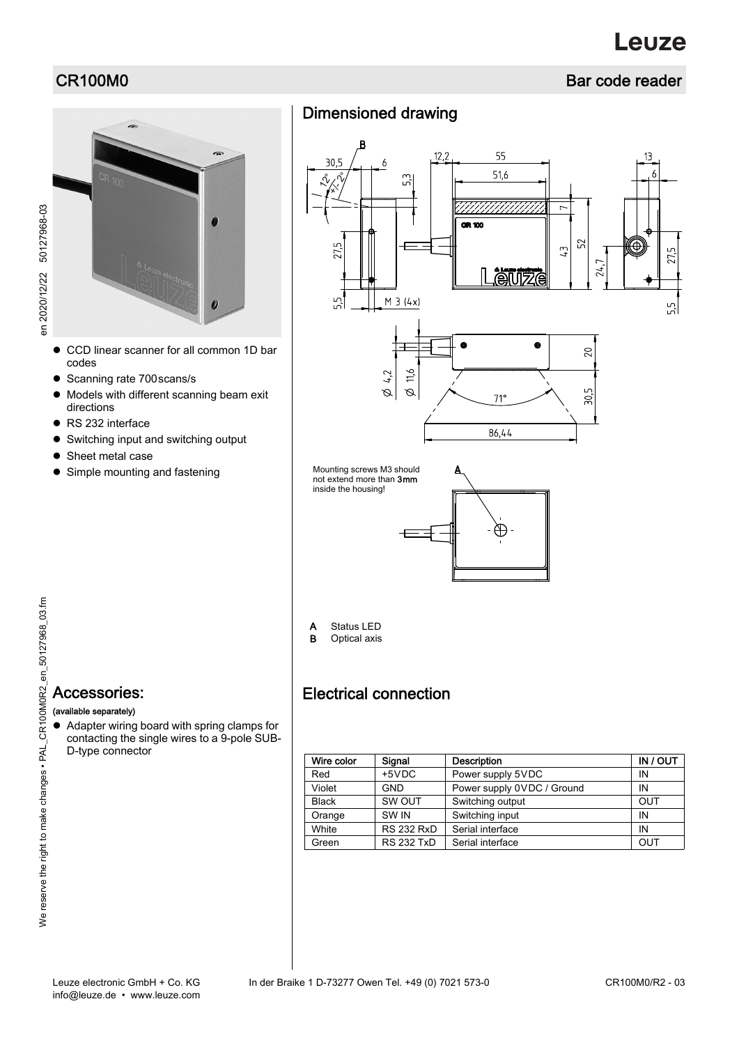# **Leuze**

## CR100M0 Bar code reader

en 2020/12/22 50127968-03

en 2020/12/22 50127968-03

# $\boldsymbol{\theta}$

- CCD linear scanner for all common 1D bar codes
- Scanning rate 700 scans/s
- $\bullet$  Models with different scanning beam exit directions
- RS 232 interface
- Switching input and switching output
- Sheet metal case
- Simple mounting and fastening

# Dimensioned drawing



- A Status LED
- **B** Optical axis

#### Accessories:

#### (available separately)

 Adapter wiring board with spring clamps for contacting the single wires to a 9-pole SUB-D-type connector

### Electrical connection

| Wire color   | Signal            | <b>Description</b>         | IN / OUT   |
|--------------|-------------------|----------------------------|------------|
| Red          | $+5VDC$           | Power supply 5VDC          | ΙN         |
| Violet       | <b>GND</b>        | Power supply 0VDC / Ground | ΙN         |
| <b>Black</b> | SW OUT            | Switching output           | <b>OUT</b> |
| Orange       | SW IN             | Switching input            | IN         |
| White        | <b>RS 232 RxD</b> | Serial interface           | IN         |
| Green        | <b>RS 232 TxD</b> | Serial interface           | OUT        |